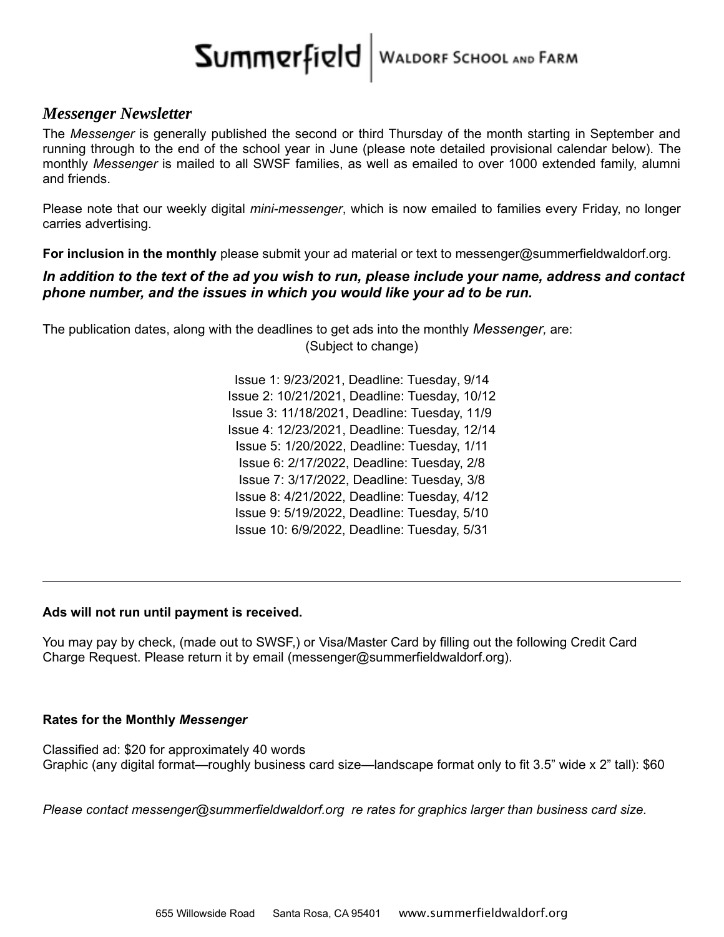# SUMMRYFIRIO WALDORF SCHOOL AND FARM

#### *Messenger Newsletter*

The *Messenger* is generally published the second or third Thursday of the month starting in September and running through to the end of the school year in June (please note detailed provisional calendar below). The monthly *Messenger* is mailed to all SWSF families, as well as emailed to over 1000 extended family, alumni and friends.

Please note that our weekly digital *mini-messenger*, which is now emailed to families every Friday, no longer carries advertising.

**For inclusion in the monthly** please submit your ad material or text to messenger@summerfieldwaldorf.org.

#### *In addition to the text of the ad you wish to run, please include your name, address and contact phone number, and the issues in which you would like your ad to be run.*

The publication dates, along with the deadlines to get ads into the monthly *Messenger,* are: (Subject to change)

> Issue 1: 9/23/2021, Deadline: Tuesday, 9/14 Issue 2: 10/21/2021, Deadline: Tuesday, 10/12 Issue 3: 11/18/2021, Deadline: Tuesday, 11/9 Issue 4: 12/23/2021, Deadline: Tuesday, 12/14 Issue 5: 1/20/2022, Deadline: Tuesday, 1/11 Issue 6: 2/17/2022, Deadline: Tuesday, 2/8 Issue 7: 3/17/2022, Deadline: Tuesday, 3/8 Issue 8: 4/21/2022, Deadline: Tuesday, 4/12 Issue 9: 5/19/2022, Deadline: Tuesday, 5/10 Issue 10: 6/9/2022, Deadline: Tuesday, 5/31

#### **Ads will not run until payment is received.**

You may pay by check, (made out to SWSF,) or Visa/Master Card by filling out the following Credit Card Charge Request. Please return it by email (messenger@summerfieldwaldorf.org).

#### **Rates for the Monthly** *Messenger*

Classified ad: \$20 for approximately 40 words Graphic (any digital format—roughly business card size—landscape format only to fit 3.5" wide x 2" tall): \$60

*Please contact messenger@summerfieldwaldorf.org re rates for graphics larger than business card size.*